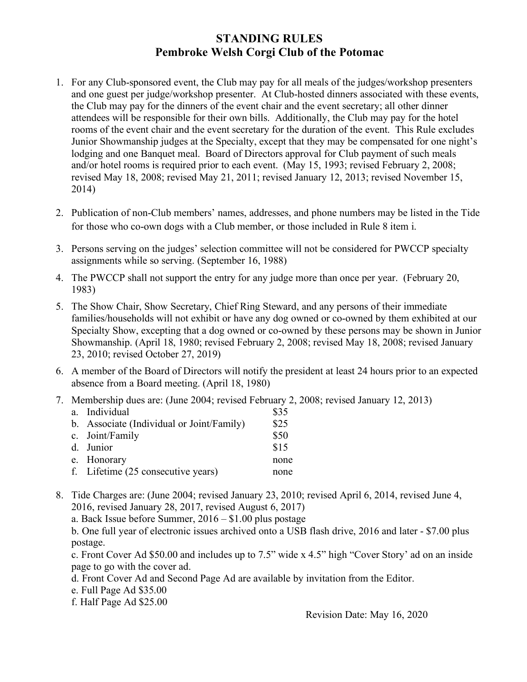## **STANDING RULES Pembroke Welsh Corgi Club of the Potomac**

- 1. For any Club-sponsored event, the Club may pay for all meals of the judges/workshop presenters and one guest per judge/workshop presenter. At Club-hosted dinners associated with these events, the Club may pay for the dinners of the event chair and the event secretary; all other dinner attendees will be responsible for their own bills. Additionally, the Club may pay for the hotel rooms of the event chair and the event secretary for the duration of the event. This Rule excludes Junior Showmanship judges at the Specialty, except that they may be compensated for one night's lodging and one Banquet meal. Board of Directors approval for Club payment of such meals and/or hotel rooms is required prior to each event. (May 15, 1993; revised February 2, 2008; revised May 18, 2008; revised May 21, 2011; revised January 12, 2013; revised November 15, 2014)
- 2. Publication of non-Club members' names, addresses, and phone numbers may be listed in the Tide for those who co-own dogs with a Club member, or those included in Rule 8 item i.
- 3. Persons serving on the judges' selection committee will not be considered for PWCCP specialty assignments while so serving. (September 16, 1988)
- 4. The PWCCP shall not support the entry for any judge more than once per year. (February 20, 1983)
- 5. The Show Chair, Show Secretary, Chief Ring Steward, and any persons of their immediate families/households will not exhibit or have any dog owned or co-owned by them exhibited at our Specialty Show, excepting that a dog owned or co-owned by these persons may be shown in Junior Showmanship. (April 18, 1980; revised February 2, 2008; revised May 18, 2008; revised January 23, 2010; revised October 27, 2019)
- 6. A member of the Board of Directors will notify the president at least 24 hours prior to an expected absence from a Board meeting. (April 18, 1980)
- 7. Membership dues are: (June 2004; revised February 2, 2008; revised January 12, 2013)

| a. Individual                             | \$35 |
|-------------------------------------------|------|
| b. Associate (Individual or Joint/Family) | \$25 |
| c. Joint/Family                           | \$50 |
| d. Junior                                 | \$15 |
| e. Honorary                               | none |
| f. Lifetime (25 consecutive years)        | none |
|                                           |      |

8. Tide Charges are: (June 2004; revised January 23, 2010; revised April 6, 2014, revised June 4, 2016, revised January 28, 2017, revised August 6, 2017)

a. Back Issue before Summer, 2016 – \$1.00 plus postage

b. One full year of electronic issues archived onto a USB flash drive, 2016 and later - \$7.00 plus postage.

c. Front Cover Ad \$50.00 and includes up to 7.5" wide x 4.5" high "Cover Story' ad on an inside page to go with the cover ad.

d. Front Cover Ad and Second Page Ad are available by invitation from the Editor.

e. Full Page Ad \$35.00

f. Half Page Ad \$25.00

Revision Date: May 16, 2020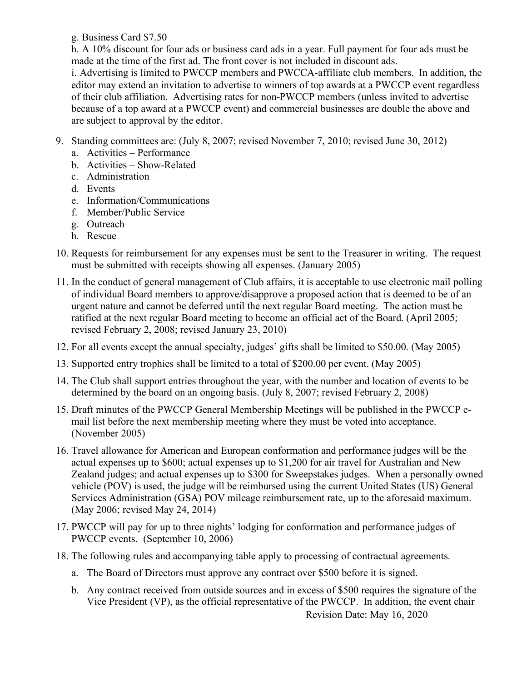g. Business Card \$7.50

h. A 10% discount for four ads or business card ads in a year. Full payment for four ads must be made at the time of the first ad. The front cover is not included in discount ads. i. Advertising is limited to PWCCP members and PWCCA-affiliate club members. In addition, the editor may extend an invitation to advertise to winners of top awards at a PWCCP event regardless of their club affiliation. Advertising rates for non-PWCCP members (unless invited to advertise because of a top award at a PWCCP event) and commercial businesses are double the above and are subject to approval by the editor.

- 9. Standing committees are: (July 8, 2007; revised November 7, 2010; revised June 30, 2012)
	- a. Activities Performance
	- b. Activities Show-Related
	- c. Administration
	- d. Events
	- e. Information/Communications
	- f. Member/Public Service
	- g. Outreach
	- h. Rescue
- 10. Requests for reimbursement for any expenses must be sent to the Treasurer in writing. The request must be submitted with receipts showing all expenses. (January 2005)
- 11. In the conduct of general management of Club affairs, it is acceptable to use electronic mail polling of individual Board members to approve/disapprove a proposed action that is deemed to be of an urgent nature and cannot be deferred until the next regular Board meeting. The action must be ratified at the next regular Board meeting to become an official act of the Board. (April 2005; revised February 2, 2008; revised January 23, 2010)
- 12. For all events except the annual specialty, judges' gifts shall be limited to \$50.00. (May 2005)
- 13. Supported entry trophies shall be limited to a total of \$200.00 per event. (May 2005)
- 14. The Club shall support entries throughout the year, with the number and location of events to be determined by the board on an ongoing basis. (July 8, 2007; revised February 2, 2008)
- 15. Draft minutes of the PWCCP General Membership Meetings will be published in the PWCCP email list before the next membership meeting where they must be voted into acceptance. (November 2005)
- 16. Travel allowance for American and European conformation and performance judges will be the actual expenses up to \$600; actual expenses up to \$1,200 for air travel for Australian and New Zealand judges; and actual expenses up to \$300 for Sweepstakes judges. When a personally owned vehicle (POV) is used, the judge will be reimbursed using the current United States (US) General Services Administration (GSA) POV mileage reimbursement rate, up to the aforesaid maximum. (May 2006; revised May 24, 2014)
- 17. PWCCP will pay for up to three nights' lodging for conformation and performance judges of PWCCP events. (September 10, 2006)
- 18. The following rules and accompanying table apply to processing of contractual agreements.
	- a. The Board of Directors must approve any contract over \$500 before it is signed.
	- Revision Date: May 16, 2020 b. Any contract received from outside sources and in excess of \$500 requires the signature of the Vice President (VP), as the official representative of the PWCCP. In addition, the event chair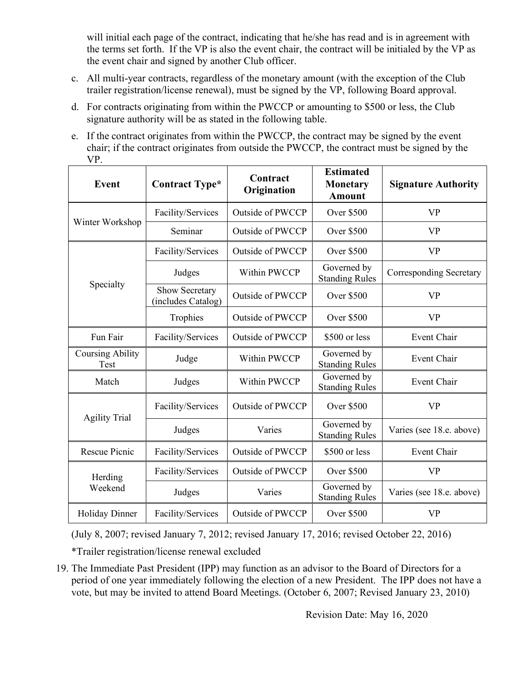will initial each page of the contract, indicating that he/she has read and is in agreement with the terms set forth. If the VP is also the event chair, the contract will be initialed by the VP as the event chair and signed by another Club officer.

- c. All multi-year contracts, regardless of the monetary amount (with the exception of the Club trailer registration/license renewal), must be signed by the VP, following Board approval.
- d. For contracts originating from within the PWCCP or amounting to \$500 or less, the Club signature authority will be as stated in the following table.
- e. If the contract originates from within the PWCCP, the contract may be signed by the event chair; if the contract originates from outside the PWCCP, the contract must be signed by the VP.

| <b>Event</b>                    | Contract Type*                       | Contract<br>Origination | <b>Estimated</b><br><b>Monetary</b><br><b>Amount</b> | <b>Signature Authority</b>     |
|---------------------------------|--------------------------------------|-------------------------|------------------------------------------------------|--------------------------------|
|                                 | Facility/Services                    | <b>Outside of PWCCP</b> | <b>Over \$500</b>                                    | <b>VP</b>                      |
| Winter Workshop                 | Seminar                              | <b>Outside of PWCCP</b> | <b>Over \$500</b>                                    | <b>VP</b>                      |
|                                 | Facility/Services                    | <b>Outside of PWCCP</b> | <b>Over \$500</b>                                    | <b>VP</b>                      |
| Specialty                       | Judges                               | Within PWCCP            | Governed by<br><b>Standing Rules</b>                 | <b>Corresponding Secretary</b> |
|                                 | Show Secretary<br>(includes Catalog) | <b>Outside of PWCCP</b> | <b>Over \$500</b>                                    | <b>VP</b>                      |
|                                 | Trophies                             | <b>Outside of PWCCP</b> | <b>Over \$500</b>                                    | <b>VP</b>                      |
| Fun Fair                        | Facility/Services                    | <b>Outside of PWCCP</b> | \$500 or less                                        | <b>Event Chair</b>             |
| <b>Coursing Ability</b><br>Test | Judge                                | Within PWCCP            | Governed by<br><b>Standing Rules</b>                 | Event Chair                    |
| Match                           | Judges                               | Within PWCCP            | Governed by<br><b>Standing Rules</b>                 | <b>Event Chair</b>             |
| <b>Agility Trial</b>            | Facility/Services                    | <b>Outside of PWCCP</b> | <b>Over \$500</b>                                    | <b>VP</b>                      |
|                                 | Judges                               | Varies                  | Governed by<br><b>Standing Rules</b>                 | Varies (see 18.e. above)       |
| Rescue Picnic                   | Facility/Services                    | <b>Outside of PWCCP</b> | \$500 or less                                        | Event Chair                    |
| Herding                         | Facility/Services                    | <b>Outside of PWCCP</b> | <b>Over \$500</b>                                    | <b>VP</b>                      |
| Weekend                         | Judges                               | Varies                  | Governed by<br><b>Standing Rules</b>                 | Varies (see 18.e. above)       |
| <b>Holiday Dinner</b>           | Facility/Services                    | <b>Outside of PWCCP</b> | <b>Over \$500</b>                                    | <b>VP</b>                      |

(July 8, 2007; revised January 7, 2012; revised January 17, 2016; revised October 22, 2016) \*Trailer registration/license renewal excluded

19. The Immediate Past President (IPP) may function as an advisor to the Board of Directors for a period of one year immediately following the election of a new President. The IPP does not have a vote, but may be invited to attend Board Meetings. (October 6, 2007; Revised January 23, 2010)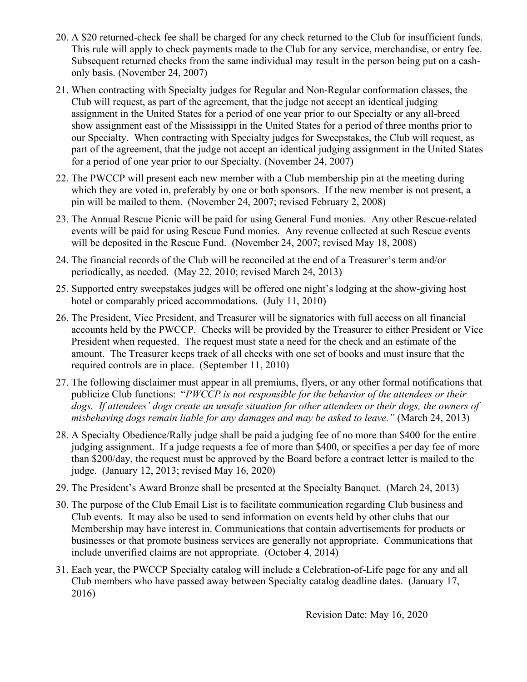- 20. A \$20 returned-check fee shall be charged for any check returned to the Club for insufficient funds. This rule will apply to check payments made to the Club for any service, merchandise, or entry fee. Subsequent returned checks from the same individual may result in the person being put on a cashonly basis. (November 24, 2007)
- 21. When contracting with Specialty judges for Regular and Non-Regular conformation classes, the Club will request, as part of the agreement, that the judge not accept an identical judging assignment in the United States for a period of one year prior to our Specialty or any all-breed show assignment east of the Mississippi in the United States for a period of three months prior to our Specialty. When contracting with Specialty judges for Sweepstakes, the Club will request, as part of the agreement, that the judge not accept an identical judging assignment in the United States for a period of one year prior to our Specialty. (November 24, 2007)
- 22. The PWCCP will present each new member with a Club membership pin at the meeting during which they are voted in, preferably by one or both sponsors. If the new member is not present, a pin will be mailed to them. (November 24, 2007; revised February 2, 2008)
- 23. The Annual Rescue Picnic will be paid for using General Fund monies. Any other Rescue-related events will be paid for using Rescue Fund monies. Any revenue collected at such Rescue events will be deposited in the Rescue Fund. (November 24, 2007; revised May 18, 2008)
- 24. The financial records of the Club will be reconciled at the end of a Treasurer's term and/or periodically, as needed. (May 22, 2010; revised March 24, 2013)
- 25. Supported entry sweepstakes judges will be offered one night's lodging at the show-giving host hotel or comparably priced accommodations. (July 11, 2010)
- 26. The President, Vice President, and Treasurer will be signatories with full access on all financial accounts held by the PWCCP. Checks will be provided by the Treasurer to either President or Vice President when requested. The request must state a need for the check and an estimate of the amount. The Treasurer keeps track of all checks with one set of books and must insure that the required controls are in place. (September 11, 2010)
- 27. The following disclaimer must appear in all premiums, flyers, or any other formal notifications that publicize Club functions: "*PWCCP is not responsible for the behavior of the attendees or their dogs. If attendees' dogs create an unsafe situation for other attendees or their dogs, the owners of misbehaving dogs remain liable for any damages and may be asked to leave."* (March 24, 2013)
- 28. A Specialty Obedience/Rally judge shall be paid a judging fee of no more than \$400 for the entire judging assignment. If a judge requests a fee of more than \$400, or specifies a per day fee of more than \$200/day, the request must be approved by the Board before a contract letter is mailed to the judge. (January 12, 2013; revised May 16, 2020)
- 29. The President's Award Bronze shall be presented at the Specialty Banquet. (March 24, 2013)
- 30. The purpose of the Club Email List is to facilitate communication regarding Club business and Club events. It may also be used to send information on events held by other clubs that our Membership may have interest in. Communications that contain advertisements for products or businesses or that promote business services are generally not appropriate. Communications that include unverified claims are not appropriate. (October 4, 2014)
- 31. Each year, the PWCCP Specialty catalog will include a Celebration-of-Life page for any and all Club members who have passed away between Specialty catalog deadline dates. (January 17, 2016)